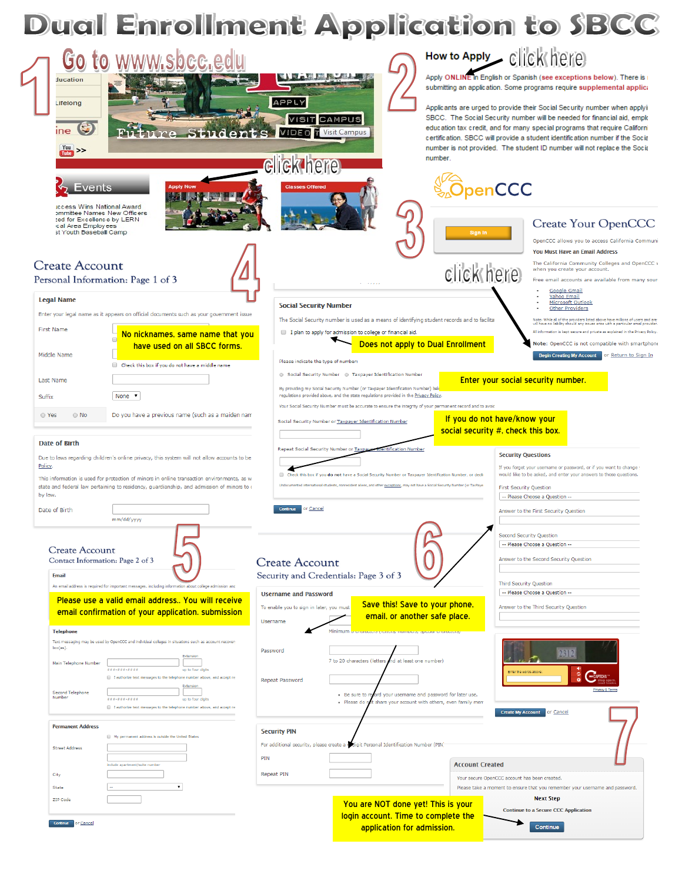

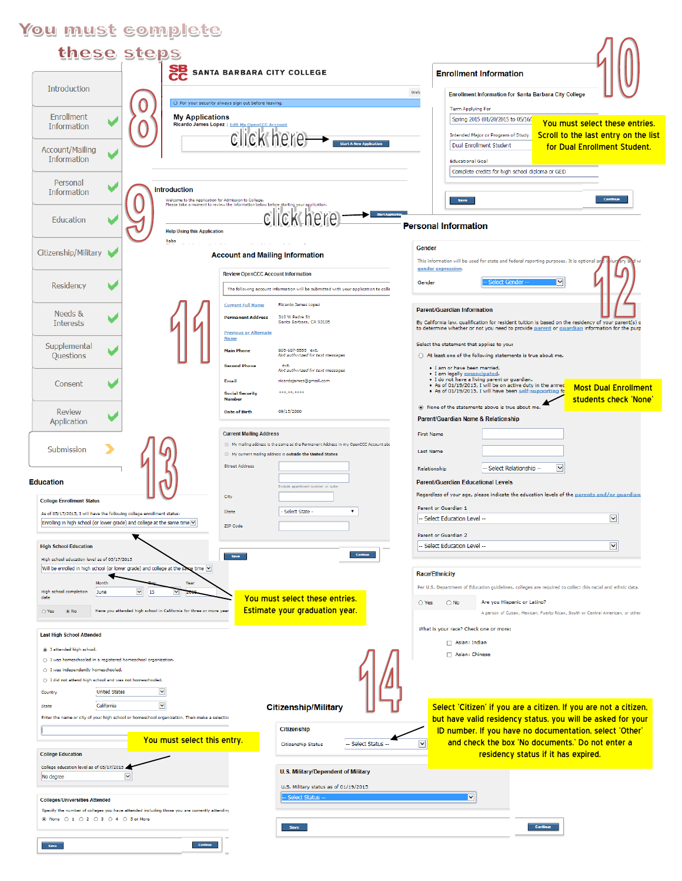## You must complete

| these steps                                                                                                                                        |                                                                                                                                                 |                                                                                                                                                                                                     |
|----------------------------------------------------------------------------------------------------------------------------------------------------|-------------------------------------------------------------------------------------------------------------------------------------------------|-----------------------------------------------------------------------------------------------------------------------------------------------------------------------------------------------------|
|                                                                                                                                                    | <b>SB</b> SANTA BARBARA CITY COLLEGE                                                                                                            | <b>Enrollment Information</b>                                                                                                                                                                       |
| <b>Introduction</b>                                                                                                                                |                                                                                                                                                 | Welc<br><b>Enrollment Information for Santa Barbara City College</b>                                                                                                                                |
| Enrollment                                                                                                                                         | <sup>1</sup> For your security always sign out before leaving.<br><b>My Applications</b>                                                        | <b>Term Applying For</b>                                                                                                                                                                            |
| Information                                                                                                                                        | Ricardo James Lopez   Edit My OpenCCC Account                                                                                                   | Spring 2015 (01/20/2015 to 05/16/<br>You must select these entries.<br>Scroll to the last entry on the list<br>Intended Major or Program of Study                                                   |
| <b>Account/Mailing</b><br>Information                                                                                                              | CICK here Start Alexander                                                                                                                       | Dual Enrollment Student<br>for Dual Enrollment Student.<br><b>Educational Goal</b>                                                                                                                  |
| Personal                                                                                                                                           |                                                                                                                                                 | Complete credits for high school diploma or GED                                                                                                                                                     |
| <b>Introduction</b><br>Information                                                                                                                 | Welcome to the Application for Admission to College.                                                                                            | Continue<br>Save                                                                                                                                                                                    |
| Education                                                                                                                                          | Please take a moment to review the information below before starting your application.<br><b>ICK here</b><br><b>Help Using this Application</b> | <b>Personal Information</b>                                                                                                                                                                         |
| Tabs<br>Citizenship/Military                                                                                                                       |                                                                                                                                                 | Gender                                                                                                                                                                                              |
|                                                                                                                                                    | <b>Account and Mailing Information</b>                                                                                                          | This information will be used for state and federal reporting purposes. It is optional a<br>gender expression                                                                                       |
| Residency                                                                                                                                          | <b>Review OpenCCC Account Information</b><br>The following account information will be submitted with your application to colle                 | $\overline{\phantom{a}}$<br>Gender<br>lect Gender                                                                                                                                                   |
|                                                                                                                                                    | <b>Ricardo James Lopez</b><br><b>Current Full Name</b>                                                                                          |                                                                                                                                                                                                     |
| Needs &<br><b>Interests</b>                                                                                                                        | 310 W Padre St<br><b>Permanent Address</b><br>Santa Barbara, CA 93105                                                                           | Parent/Guardian Information<br>By California law, qualification for resident tuition is based on the residency of your parent(s) o                                                                  |
|                                                                                                                                                    | <b>Previous or Alternate</b><br><b>Name</b>                                                                                                     | to determine whether or not you need to provide parent or quardian information for the purp                                                                                                         |
| Supplemental<br>Questions                                                                                                                          | 805-687-5555 ext.<br>Main Phone<br>Not authorized for text messages                                                                             | Select the statement that applies to you:<br>○ At least one of the following statements is true about me.                                                                                           |
|                                                                                                                                                    | <b>Second Phone</b><br>ext.<br>Not authorized for text messages                                                                                 | . I am or have been married.<br>. I am legally emancipated                                                                                                                                          |
| Consent                                                                                                                                            | ricardojames@gmail.com<br>Email<br>***.**.****<br><b>Social Security</b>                                                                        | . I do not have a living parent or guardian.<br>. As of 01/19/2015, I will be on active duty in the armed<br><b>Most Dual Enrollment</b><br>. As of 01/19/2015, I will have been self-supporting fo |
|                                                                                                                                                    | <b>Number</b><br>09/15/2000<br><b>Date of Birth</b>                                                                                             | students check 'None'<br>. None of the statements above is true about me.                                                                                                                           |
| <b>Review</b><br>Application                                                                                                                       |                                                                                                                                                 | Parent/Guardian Name & Relationship                                                                                                                                                                 |
|                                                                                                                                                    | <b>Current Mailing Address</b><br>My mailing address is the same as the Permanent Address in my OpenCCC Account abo                             | <b>First Name</b>                                                                                                                                                                                   |
| Submission                                                                                                                                         | My current mailing address is outside the United States                                                                                         | <b>Last Name</b>                                                                                                                                                                                    |
|                                                                                                                                                    | <b>Street Address</b>                                                                                                                           | $\checkmark$<br>-- Select Relationship --<br>Relationship                                                                                                                                           |
| <b>Education</b>                                                                                                                                   | Include apartment number or suite<br>City                                                                                                       | <b>Parent/Guardian Educational Levels</b><br>Regardless of your age, please indicate the education levels of the parents and/or guardian:                                                           |
| <b>College Enrollment Status</b>                                                                                                                   | - Select State -<br>$\pmb{\mathrm{v}}$<br>State                                                                                                 | Parent or Guardian 1                                                                                                                                                                                |
| As of 05/17/2015, I will have the following college enrollment status:<br>Enrolling in high school (or lower grade) and college at the same time V | ZIP Code                                                                                                                                        | $\checkmark$<br>-- Select Education Level --                                                                                                                                                        |
|                                                                                                                                                    |                                                                                                                                                 | Parent or Guardian 2<br>$\checkmark$<br>-- Select Education Level --                                                                                                                                |
| <b>High School Education</b><br>High school education level as of 05/17/2015                                                                       | Continue<br><b>Save</b>                                                                                                                         |                                                                                                                                                                                                     |
| Will be enrolled in high school (or lower grade) and college at the same time V                                                                    |                                                                                                                                                 | <b>Race/Ethnicity</b>                                                                                                                                                                               |
| Mont<br>$\checkmark$<br>15<br>High school completion<br>June<br>date                                                                               | Year                                                                                                                                            | Per U.S. Department of Education guidelines, colleges are required to collect this racial and ethnic data.                                                                                          |
| ⊙ No<br>Have you attended high school in California for three or more year<br>$\bigcirc$ Yes                                                       | You must select these entries.<br>Estimate your graduation year.                                                                                | $\bigcirc$ No<br>Are you Hispanic or Latino?<br>◯ Yes<br>A person of Cuban, Mexican, Puerto Rican, South or Central American, or other                                                              |
| <b>Last High School Attended</b>                                                                                                                   |                                                                                                                                                 | What is your race? Check one or more:                                                                                                                                                               |
| <sup>6</sup> I attended high school.                                                                                                               |                                                                                                                                                 | Asian: Indian                                                                                                                                                                                       |
| ○ I was homeschooled in a registered homeschool organization.                                                                                      |                                                                                                                                                 | Asian: Chinese                                                                                                                                                                                      |
| ○ I was independently homeschooled.<br>○ I did not attend high school and was not homeschooled.                                                    |                                                                                                                                                 |                                                                                                                                                                                                     |
| $\checkmark$<br><b>United States</b><br><b>Country</b>                                                                                             |                                                                                                                                                 |                                                                                                                                                                                                     |
| $\checkmark$<br>California<br><b>State</b>                                                                                                         | <b>Citizenship/Military</b>                                                                                                                     | Select 'Citizen' if you are a citizen. If you are not a citizen,                                                                                                                                    |
| Enter the name or city of your high school or homeschool organization. Then make a selectior                                                       |                                                                                                                                                 | but have valid residency status, you will be asked for your                                                                                                                                         |
|                                                                                                                                                    | <b>Citizenship</b><br>You must select this entry.                                                                                               | ID number. If you have no documentation, select 'Other'<br>and check the box 'No documents.' Do not enter a<br>$\checkmark$                                                                         |
| <b>College Education</b>                                                                                                                           | -- Select Status -<br><b>Citizenship Status</b>                                                                                                 | residency status if it has expired.                                                                                                                                                                 |
| College education level as of 05/17/2015<br>$\checkmark$<br>No degree                                                                              | U.S. Military/Dependent of Military                                                                                                             |                                                                                                                                                                                                     |
|                                                                                                                                                    | U.S. Military status as of 01/19/2015                                                                                                           |                                                                                                                                                                                                     |
| <b>Colleges/Universities Attended</b>                                                                                                              | Select Status                                                                                                                                   | M                                                                                                                                                                                                   |
| Specify the number of colleges you have attended including those you are currently attending<br>◉ None ○ 1 ○ 2 ○ 3 ○ 4 ○ 5 or More                 |                                                                                                                                                 |                                                                                                                                                                                                     |
|                                                                                                                                                    | Save                                                                                                                                            | Continue                                                                                                                                                                                            |
| Save                                                                                                                                               | Continue                                                                                                                                        |                                                                                                                                                                                                     |